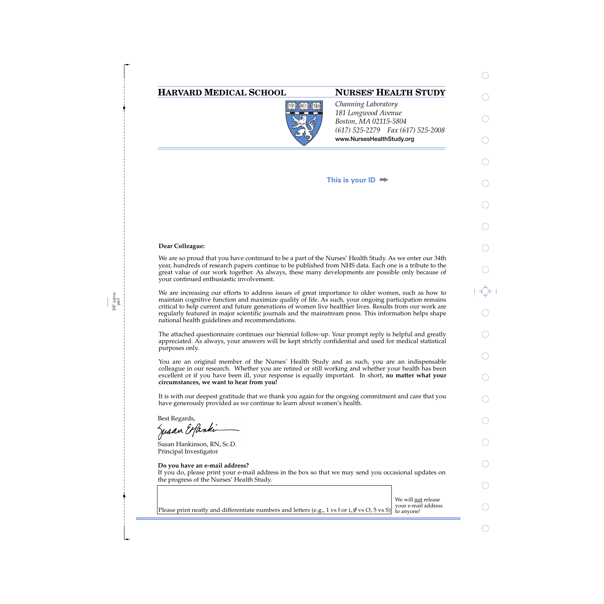## **HARVARD MEDICAL SCHOOL NURSES' HEALTH STUDY**



*Channing Laboratory 181 Longwood Avenue Boston, MA 02115-5804 (617) 525-2279 Fax (617) 525-2008*  **www.NursesHealthStudy.org** 

### **This is your ID**

#### **Dear Colleague:**

3/8" spine perf We are so proud that you have continued to be a part of the Nurses' Health Study. As we enter our 34th year, hundreds of research papers continue to be published from NHS data. Each one is a tribute to the great value of our work together. As always, these many developments are possible only because of your continued enthusiastic involvement.

We are increasing our efforts to address issues of great importance to older women, such as how to maintain cognitive function and maximize quality of life. As such, your ongoing participation remains critical to help current and future generations of women live healthier lives. Results from our work are regularly featured in major scientific journals and the mainstream press. This information helps shape national health guidelines and recommendations.

The attached questionnaire continues our biennial follow-up. Your prompt reply is helpful and greatly appreciated. As always, your answers will be kept strictly confidential and used for medical statistical purposes only.

You are an original member of the Nurses' Health Study and as such, you are an indispensable colleague in our research. Whether you are retired or still working and whether your health has been excellent or if you have been ill, your response is equally important. In short, **no matter what your circumstances, we want to hear from you!**

It is with our deepest gratitude that we thank you again for the ongoing commitment and care that you have generously provided as we continue to learn about women's health.

Best Regards,

Jusan Expandi

Susan Hankinson, RN, Sc.D. Principal Investigator

#### **Do you have an e-mail address?**

If you do, please print your e-mail address in the box so that we may send you occasional updates on the progress of the Nurses' Health Study.

We will <u>not</u> release<br>your e-mail address Please print neatly and differentiate numbers and letters (e.g., 1 vs l or i,  $\emptyset$  vs O, 5 vs S) to anyone!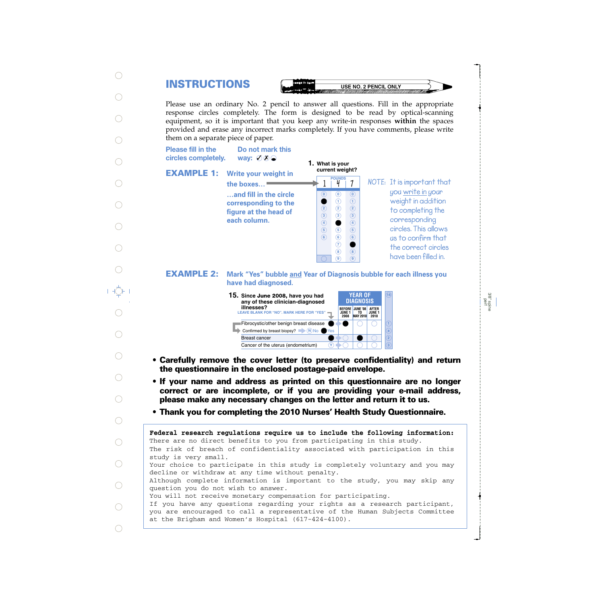# **INSTRUCTIONS**

**USE NO. 2 PENCIL ONLY** 

Please use an ordinary No. 2 pencil to answer all questions. Fill in the appropriate response circles completely. The form is designed to be read by optical-scanning equipment, so it is important that you keep any write-in responses **within** the spaces provided and erase any incorrect marks completely. If you have comments, please write them on a separate piece of paper.

**Please fill in the** circles completely.

**way:** ⊘ **%** ●

**Do not mark this**

**EXAMPLE 1:**

| Write your weight in   |
|------------------------|
| the boxes              |
| and fill in the circle |
| corresponding to the   |
| figure at the head of  |
| each column.           |
|                        |

**1. What is your current weight?**

 $\bigcirc$ 

**0**

**8 9**

**7 8 9**

**147**

**NOTE: POUNDS It is important that you write in your weight in addition to completing the corresponding circles. This allows us to confirm that the correct circles have been filled in.**

**Mark "Yes" bubble and Year of Diagnosis bubble for each illness you have had diagnosed. EXAMPLE 2:**



- **Carefully remove the cover letter (to preserve confidentiality) and return the questionnaire in the enclosed postage-paid envelope.**
- **If your name and address as printed on this questionnaire are no longer correct or are incomplete, or if you are providing your e-mail address, please make any necessary changes on the letter and return it to us.**
- **Thank you for completing the 2010 Nurses' Health Study Questionnaire.**

The risk of breach of confidentiality associated with participation in this study is very small. Your choice to participate in this study is completely voluntary and you may decline or withdraw at any time without penalty. Although complete information is important to the study, you may skip any question you do not wish to answer. You will not receive monetary compensation for participating. If you have any questions regarding your rights as a research participant, you are encouraged to call a representative of the Human Subjects Committee at the Brigham and Women's Hospital (617-424-4100). **Federal research regulations require us to include the following information:** There are no direct benefits to you from participating in this study.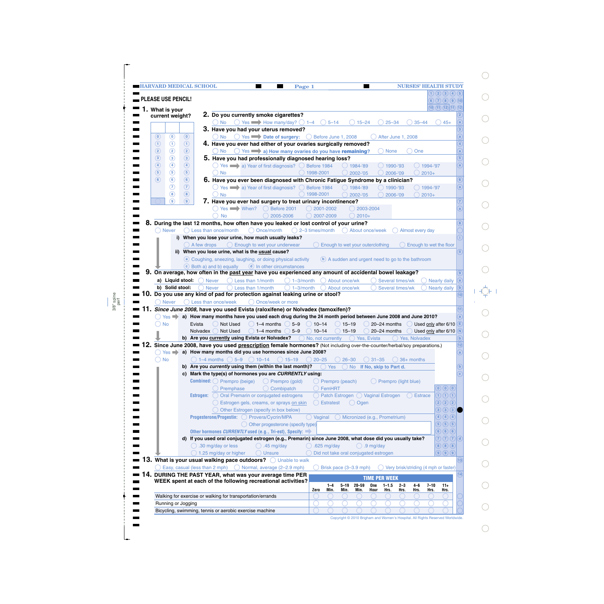|                                 | <b>HARVARD MEDICAL SCHOOL</b> |                                             |                                                                                     | Page 1                                                                                                                                                                                        | <b>Contract</b>                                       |                                                     | <b>NURSES' HEALTH STUDY</b>           |                                                                                             |
|---------------------------------|-------------------------------|---------------------------------------------|-------------------------------------------------------------------------------------|-----------------------------------------------------------------------------------------------------------------------------------------------------------------------------------------------|-------------------------------------------------------|-----------------------------------------------------|---------------------------------------|---------------------------------------------------------------------------------------------|
|                                 |                               |                                             |                                                                                     |                                                                                                                                                                                               |                                                       |                                                     |                                       | $\overline{1}$ (2) (3) (4) (5)                                                              |
| <b>PLEASE USE PENCIL!</b>       |                               |                                             |                                                                                     |                                                                                                                                                                                               |                                                       |                                                     |                                       | (6)(7)(8)(9)(10)                                                                            |
| 1. What is your                 |                               |                                             |                                                                                     |                                                                                                                                                                                               |                                                       |                                                     |                                       | (10)(11)(12)(11)(12)                                                                        |
| current weight?                 |                               |                                             | 2. Do you currently smoke cigarettes?                                               |                                                                                                                                                                                               |                                                       |                                                     |                                       |                                                                                             |
|                                 |                               | ( ) No                                      | Yes $\longrightarrow$ How many/day? $\bigcirc$ 1-4                                  | $\bigcirc$ 5-14                                                                                                                                                                               | $15 - 24$                                             | $25 - 34$                                           | $35 - 44$                             | $45+$                                                                                       |
| $\odot$<br>$\circledcirc$       | $\circledcirc$                | $()$ No                                     | 3. Have you had your uterus removed?                                                | ◯ Yes Date of surgery: ◯ Before June 1, 2008                                                                                                                                                  |                                                       |                                                     |                                       |                                                                                             |
| $\odot$<br>$\odot$              | $\odot$                       |                                             |                                                                                     | 4. Have you ever had either of your ovaries surgically removed?                                                                                                                               |                                                       | After June 1, 2008                                  |                                       |                                                                                             |
| $\circled{2}$<br>$\circled{2}$  | $\circled{2}$                 |                                             |                                                                                     | ◯ No ◯ Yes a) How many ovaries do you have remaining?                                                                                                                                         |                                                       | ) None                                              | One                                   |                                                                                             |
| $\circled{3}$<br>$\circled{3}$  | $\circled{3}$                 |                                             |                                                                                     | 5. Have you had professionally diagnosed hearing loss?                                                                                                                                        |                                                       |                                                     |                                       |                                                                                             |
| $\circled{4}$<br>$\circled{4}$  | $\circled{4}$                 |                                             |                                                                                     | $\bigcirc$ Yes $\longrightarrow$ a) Year of first diagnosis? $\bigcirc$ Before 1984                                                                                                           | $()$ 1984-'89                                         | 1990-'93                                            | 1994-'97                              | $\overline{a}$                                                                              |
| $\circled{5}$<br>$\circledS$    | $\circled{5}$                 | $\bigcirc$ No                               |                                                                                     | 1998-2001                                                                                                                                                                                     | 2002-'05                                              | 2006-'09                                            | $2010+$                               |                                                                                             |
| $\circledcirc$<br>$\circled{6}$ | $\circledcirc$                |                                             |                                                                                     | 6. Have you ever been diagnosed with Chronic Fatigue Syndrome by a clinician?                                                                                                                 |                                                       |                                                     |                                       | 6                                                                                           |
| $\circledR$                     | $\odot$                       |                                             |                                                                                     | $\bigcirc$ Yes $\longrightarrow$ a) Year of first diagnosis? $\bigcirc$ Before 1984                                                                                                           | $\bigcirc$ 1984-'89                                   | 1990-'93                                            | $( ) 1994 - 97$                       | $\overline{a}$                                                                              |
| $\circled{8}$                   | $\circled{8}$                 | $\bigcirc$ No                               |                                                                                     | 1998-2001                                                                                                                                                                                     | 2002-'05                                              | 2006-'09                                            | $2010+$                               |                                                                                             |
| $\circledcirc$                  | (9)                           |                                             |                                                                                     | 7. Have you ever had surgery to treat urinary incontinence?                                                                                                                                   |                                                       |                                                     |                                       |                                                                                             |
|                                 |                               |                                             | ◯ Yes When? ◯ Before 2001                                                           | $\bigcirc$ 2001-2002                                                                                                                                                                          | 2003-2004                                             |                                                     |                                       |                                                                                             |
|                                 |                               | <b>No</b>                                   |                                                                                     | 2005-2006<br>$\bigcirc$ 2007-2009                                                                                                                                                             | $2010+$                                               |                                                     |                                       |                                                                                             |
| 8.                              |                               |                                             |                                                                                     | During the last 12 months, how often have you leaked or lost control of your urine?                                                                                                           |                                                       |                                                     |                                       |                                                                                             |
| ( ) Never                       |                               | $\bigcirc$ Less than once/month             | $\bigcirc$ Once/month<br>i) When you lose your urine, how much usually leaks?       | $\bigcirc$ 2-3 times/month                                                                                                                                                                    | ◯ About once/week                                     |                                                     | Almost every day                      |                                                                                             |
|                                 | $\bigcirc$ A few drops        |                                             | $\bigcirc$ Enough to wet your underwear                                             |                                                                                                                                                                                               | Enough to wet your outerclothing                      |                                                     | Enough to wet the floor               |                                                                                             |
|                                 |                               |                                             | ii) When you lose urine, what is the usual cause?                                   |                                                                                                                                                                                               |                                                       |                                                     |                                       |                                                                                             |
|                                 |                               |                                             | a Coughing, sneezing, laughing, or doing physical activity                          |                                                                                                                                                                                               | (b) A sudden and urgent need to go to the bathroom    |                                                     |                                       |                                                                                             |
|                                 |                               | (c) Both a) and b) equally                  | d In other circumstances                                                            |                                                                                                                                                                                               |                                                       |                                                     |                                       |                                                                                             |
| 9.                              |                               |                                             |                                                                                     | On average, how often in the past year have you experienced any amount of accidental bowel leakage?                                                                                           |                                                       |                                                     |                                       |                                                                                             |
|                                 | a) Liquid stool: O Never      |                                             | $\bigcirc$ Less than 1/month                                                        | $\bigcap$ 1-3/month                                                                                                                                                                           | About once/wk                                         | Several times/wk                                    | Nearly daily                          |                                                                                             |
| b) Solid stool:                 |                               |                                             |                                                                                     |                                                                                                                                                                                               |                                                       |                                                     |                                       |                                                                                             |
|                                 |                               |                                             |                                                                                     |                                                                                                                                                                                               |                                                       |                                                     |                                       |                                                                                             |
|                                 |                               | $\bigcap$ Never                             | $\bigcirc$ Less than 1/month                                                        | $\bigcap$ 1-3/month                                                                                                                                                                           | About once/wk                                         | Several times/wk                                    | <b>Nearly daily</b>                   | $\left[\mathbf{b}\right]$                                                                   |
|                                 |                               |                                             |                                                                                     | ${\bf 10}.$ Do you use any kind of pad for protection against leaking urine or stool?                                                                                                         |                                                       |                                                     |                                       |                                                                                             |
| $\bigcirc$ Never                |                               | () Less than once/week                      | ◯ Once/week or more                                                                 |                                                                                                                                                                                               |                                                       |                                                     |                                       |                                                                                             |
|                                 |                               |                                             |                                                                                     | 11. Since June 2008, have you used Evista (raloxifene) or Nolvadex (tamoxifen)?<br>Yes a) How many months have you used each drug during the 24 month period between June 2008 and June 2010? |                                                       |                                                     |                                       |                                                                                             |
| $\big)$ No                      | Evista                        | Not Used                                    | $() 1-4$ months $()$                                                                | $5 - 9$<br>$\bigcirc$ 10–14                                                                                                                                                                   | $\bigcirc$ 15–19                                      | $\bigcirc$ 20–24 months                             | Used only after 6/10<br>$\left($      |                                                                                             |
|                                 | Nolvadex ()                   | Not Used                                    | $\bigcirc$ 1–4 months                                                               | $10 - 14$<br>$5 - 9$                                                                                                                                                                          | $\bigcirc$ 15-19                                      | 20-24 months                                        | Used only after 6/10                  |                                                                                             |
|                                 |                               |                                             |                                                                                     | b) Are you currently using Evista or Nolvadex?<br>O No, not currently                                                                                                                         | ◯ Yes, Evista                                         |                                                     | ◯ Yes, Nolvadex                       | U,                                                                                          |
|                                 |                               |                                             |                                                                                     | 12. Since June 2008, have you used prescription female hormones? (Not including over-the-counter/herbal/soy preparations.)                                                                    |                                                       |                                                     |                                       | $\widehat{12}$                                                                              |
| $\bigcap$ Yes $\blacksquare$    |                               |                                             |                                                                                     | a) How many months did you use hormones since June 2008?                                                                                                                                      |                                                       |                                                     |                                       | $\widehat{\mathsf{a}}$                                                                      |
| <b>No</b>                       |                               |                                             | $\bigcirc$ 1–4 months $\bigcirc$ 5–9 $\bigcirc$ 10–14 $\bigcirc$ 15–19              | $() 20 - 25$                                                                                                                                                                                  | $26 - 30$                                             | $() 31 - 35$                                        | $\bigcirc$ 36+ months                 |                                                                                             |
|                                 |                               |                                             | b) Are you currently using them (within the last month)?                            | $()$ Yes                                                                                                                                                                                      | <b>No</b><br>$\Box$                                   | If No, skip to Part d.                              |                                       |                                                                                             |
|                                 |                               |                                             | c) Mark the type(s) of hormones you are CURRENTLY using:                            |                                                                                                                                                                                               |                                                       |                                                     |                                       |                                                                                             |
|                                 |                               | <b>Combined:</b> $\bigcirc$ Prempro (beige) |                                                                                     | $\bigcirc$ Prempro (gold)                                                                                                                                                                     | ◯ Prempro (peach)                                     | Prempro (light blue)                                |                                       |                                                                                             |
|                                 |                               | Premphase                                   |                                                                                     | Combipatch<br>◯ FemHRT                                                                                                                                                                        |                                                       |                                                     |                                       | $\textcircled{\scriptsize{0}}$ $\textcircled{\scriptsize{0}}$                               |
|                                 | Estrogen: $( )$               |                                             | Oral Premarin or conjugated estrogens                                               |                                                                                                                                                                                               | $\bigcirc$ Patch Estrogen $\bigcirc$ Vaginal Estrogen |                                                     | () Estrace                            | $\textcircled{1}\oplus \textcircled{1}$                                                     |
|                                 |                               |                                             | Estrogen gels, creams, or sprays on skin                                            | $\bigcap$ Estratest                                                                                                                                                                           | $\bigcirc$ Ogen                                       |                                                     |                                       | $\bigcirc$ $\bigcirc$ $\bigcirc$                                                            |
|                                 |                               |                                             | Other Estrogen (specify in box below)                                               |                                                                                                                                                                                               |                                                       |                                                     |                                       | $\circled{3}$ $\circled{3}$ $\circled{3}$                                                   |
|                                 |                               |                                             | Progesterone/Progestin: O Provera/Cycrin/MPA<br>O Other progesterone (specify type) | $\bigcirc$ Vaginal                                                                                                                                                                            | ◯ Micronized (e.g., Prometrium)                       |                                                     |                                       | $\bigcirc$ $\bigcirc$ $\bigcirc$ $\bigcirc$<br>$\left(5\right)\left(5\right)\left(5\right)$ |
|                                 |                               |                                             | Other hormones CURRENTLY used (e.g., Tri-est), Specify:                             |                                                                                                                                                                                               |                                                       |                                                     |                                       | 666                                                                                         |
|                                 |                               |                                             |                                                                                     | d) If you used oral conjugated estrogen (e.g., Premarin) since June 2008, what dose did you usually take?                                                                                     |                                                       |                                                     |                                       | $(7)$ $(7)$ $(1)$                                                                           |
|                                 |                               | $\bigcirc$ .30 mg/day or less               | $\bigcirc$ .45 mg/day                                                               | .625 $mg/day$                                                                                                                                                                                 | $\bigcirc$ .9 mg/day                                  |                                                     |                                       | $\circledR\circledR\circledR$                                                               |
|                                 |                               | $\bigcirc$ 1.25 mg/day or higher            | ◯ Unsure                                                                            |                                                                                                                                                                                               | Did not take oral conjugated estrogen                 |                                                     |                                       | $\circledcirc$ $\circledcirc$                                                               |
|                                 |                               |                                             | 3. What is your usual walking pace outdoors? O Unable to walk                       |                                                                                                                                                                                               |                                                       |                                                     |                                       |                                                                                             |
|                                 |                               |                                             | Easy, casual (less than 2 mph) $\bigcirc$ Normal, average (2–2.9 mph)               |                                                                                                                                                                                               | Brisk pace (3-3.9 mph)                                |                                                     | Very brisk/striding (4 mph or faster) |                                                                                             |
|                                 |                               |                                             | 14. DURING THE PAST YEAR, what was your average time PER                            |                                                                                                                                                                                               |                                                       |                                                     |                                       | (14)                                                                                        |
|                                 |                               |                                             | WEEK spent at each of the following recreational activities?                        |                                                                                                                                                                                               |                                                       | <b>TIME PER WEEK</b>                                |                                       |                                                                                             |
|                                 |                               |                                             |                                                                                     | $1 - 4$<br>Zero<br>Min.                                                                                                                                                                       | $5 - 19$<br>$20 - 59$<br>Min.<br>Min.                 | One<br>$1 - 1.5$<br>$2 - 3$<br>Hour<br>Hrs.<br>Hrs. | $4 - 6$<br>$7 - 10$<br>Hrs.<br>Hrs.   | $11+$<br>Hrs.                                                                               |
| Running or Jogging              |                               |                                             | Walking for exercise or walking for transportation/errands                          | Œ                                                                                                                                                                                             |                                                       |                                                     |                                       |                                                                                             |

 $\bigcirc$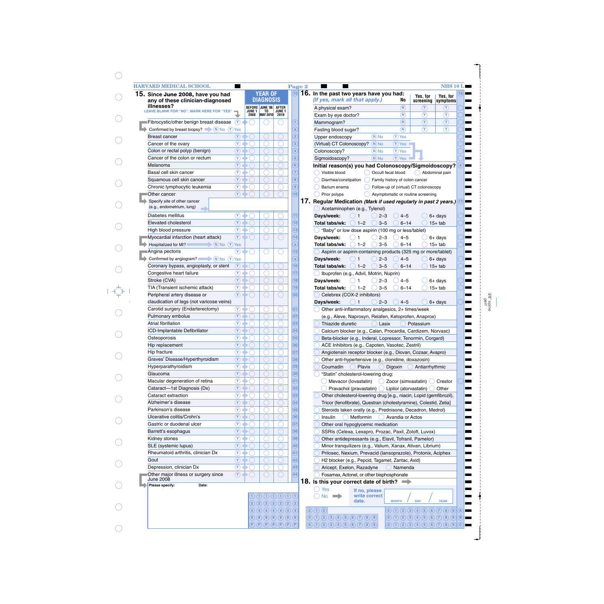| 15. Since June 2008, have you had                                      |                             |                                    | <b>YEAR OF</b>   |                                                                                 | 16. In the past two years have you had:                                  |                                | Yes, for                                                                                          | Yes, for       |
|------------------------------------------------------------------------|-----------------------------|------------------------------------|------------------|---------------------------------------------------------------------------------|--------------------------------------------------------------------------|--------------------------------|---------------------------------------------------------------------------------------------------|----------------|
| any of these clinician-diagnosed                                       |                             |                                    | <b>DIAGNOSIS</b> |                                                                                 | (If yes, mark all that apply.)                                           | No                             | screening                                                                                         | symptoms       |
| illnesses?<br>LEAVE BLANK FOR "NO". MARK HERE FOR "YES"                |                             | <b>BEFORE</b><br>JUNE <sub>1</sub> | JUNE '08<br>TO   | <b>AFTER</b><br>JUNE <sub>1</sub>                                               | A physical exam?                                                         | (N)                            | $(\mathsf{Y})$                                                                                    | $(\mathsf{Y})$ |
|                                                                        |                             | 2008                               | MAY 2010 2010    |                                                                                 | Exam by eye doctor?                                                      | $\binom{N}{k}$                 | $(\widehat{\textbf{Y}})$                                                                          | $\circledR$    |
| Fibrocystic/other benign breast disease                                | $\odot$ $\bullet$ $\odot$   |                                    |                  |                                                                                 | Mammogram?                                                               | $\left( \mathsf{N}\right)$     | $\circled{r}$                                                                                     | $\circledcirc$ |
| Confirmed by breast biopsy? $\blacksquare$ (N) No (Y) Yes              |                             |                                    |                  |                                                                                 | Fasting blood sugar?                                                     | $\widehat{N}$                  | $\left( \widehat{\mathbf{Y}}\right)$                                                              | $\circledcirc$ |
| <b>Breast cancer</b>                                                   | $(\mathbf{Y})$              |                                    |                  |                                                                                 | $(N)$ No<br>Upper endoscopy                                              | $(Y)$ Yes                      |                                                                                                   |                |
| Cancer of the ovary                                                    | $\circled{r}$               |                                    |                  |                                                                                 | $(N)$ No<br>(Virtual) CT Colonoscopy?                                    | $(Y)$ Yes                      |                                                                                                   |                |
| Colon or rectal polyp (benign)                                         | $\mathcal{N}$               |                                    |                  |                                                                                 | $(N)$ No<br>Colonoscopy?                                                 | $(Y)$ Yes                      |                                                                                                   |                |
| Cancer of the colon or rectum                                          | $\circledcirc$              |                                    |                  |                                                                                 | $(N)$ No<br>Sigmoidoscopy?                                               | $(\overline{Y})$ Yes           |                                                                                                   |                |
| Melanoma                                                               | $\mathcal{N}$               |                                    |                  |                                                                                 | Initial reason(s) you had Colonoscopy/Sigmoidoscopy?                     |                                |                                                                                                   |                |
| Basal cell skin cancer                                                 | $\circledcirc$              |                                    |                  |                                                                                 | Visible blood                                                            | Occult fecal blood             |                                                                                                   | Abdominal pain |
| Squamous cell skin cancer                                              | $\mathcal{N}$               |                                    |                  |                                                                                 | Diarrhea/constipation                                                    | Family history of colon cancer |                                                                                                   |                |
| Chronic lymphocytic leukemia                                           | $\circledcirc$              |                                    |                  |                                                                                 | Barium enema                                                             |                                | Follow-up of (virtual) CT colonoscopy                                                             |                |
| Other cancer                                                           | $\mathcal{N}$               |                                    |                  |                                                                                 | Prior polyps                                                             |                                | Asymptomatic or routine screening                                                                 |                |
| Specify site of other cancer                                           |                             |                                    |                  |                                                                                 | 17. Regular Medication (Mark if used regularly in past 2 years.)         |                                |                                                                                                   |                |
| (e.g., endometrium, lung)                                              |                             |                                    |                  |                                                                                 | Acetaminophen (e.g., Tylenol)                                            |                                |                                                                                                   |                |
| Diabetes mellitus                                                      | $\circled{r}$               |                                    |                  |                                                                                 | Days/week:<br>$2 - 3$                                                    | $4 - 5$                        |                                                                                                   | $6+$ days      |
| Elevated cholesterol                                                   | $(\gamma)$                  |                                    |                  |                                                                                 | $() 1-2$<br>$3 - 5$<br>Total tabs/wk:                                    | $6 - 14$                       |                                                                                                   | $15+$ tab      |
| High blood pressure                                                    | $(\overline{Y})$ $\Box$     |                                    |                  |                                                                                 | "Baby" or low dose aspirin (100 mg or less/tablet)                       |                                |                                                                                                   |                |
| Myocardial infarction (heart attack)                                   | $(\mathbf{Y})$              |                                    |                  |                                                                                 | Days/week:<br>$2 - 3$                                                    | $4 - 5$                        |                                                                                                   | $6+$ days      |
| Hospitalized for MI?<br>$\blacktriangleright$ (N) No $(Y)$ Yes         |                             |                                    |                  |                                                                                 | $1 - 2$<br>$3 - 5$<br>Total tabs/wk:                                     | $6 - 14$                       |                                                                                                   | $15+$ tab      |
| Angina pectoris                                                        | $\circled{r}$               |                                    | ⊂                | С                                                                               | Aspirin or aspirin-containing products (325 mg or more/tablet)           |                                |                                                                                                   |                |
| Confirmed by angiogram? $\qquad \qquad \bullet$ N No $\mathcal{F}$ Yes |                             |                                    |                  |                                                                                 | Days/week:<br>$2 - 3$                                                    | $4 - 5$                        |                                                                                                   | $6+$ days      |
| Coronary bypass, angioplasty, or stent                                 | $(\Upsilon)$                |                                    |                  |                                                                                 | $() 1 - 2$<br>$3 - 5$<br>Total tabs/wk:                                  | $6 - 14$                       |                                                                                                   | $15+$ tab      |
| Congestive heart failure                                               | $\circledcirc$              |                                    |                  |                                                                                 | Ibuprofen (e.g., Advil, Motrin, Nuprin)                                  |                                |                                                                                                   |                |
| Stroke (CVA)                                                           | $(\gamma)$                  |                                    |                  |                                                                                 | Days/week:<br>$2 - 3$                                                    | $4 - 5$                        |                                                                                                   | $6+$ days      |
| TIA (Transient ischemic attack)                                        | $(Y)$ i                     |                                    |                  |                                                                                 | $3 - 5$<br>Total tabs/wk:<br>$1 - 2$                                     | $6 - 14$                       |                                                                                                   | $15+$ tab      |
| Peripheral artery disease or                                           | (Y)                         |                                    |                  |                                                                                 | Celebrex (COX-2 inhibitors)                                              |                                |                                                                                                   |                |
| claudication of legs (not varicose veins)                              |                             |                                    |                  |                                                                                 | Days/week:<br>$2 - 3$                                                    | $4 - 5$                        |                                                                                                   | $6+$ days      |
| Carotid surgery (Endarterectomy)                                       | $(\overline{Y})$ 1          |                                    |                  |                                                                                 | Other anti-inflammatory analgesics, 2+ times/week                        |                                |                                                                                                   |                |
| Pulmonary embolus                                                      | $\mathcal{F}$               |                                    |                  |                                                                                 | (e.g., Aleve, Naprosyn, Relafen, Ketoprofen, Anaprox)                    |                                |                                                                                                   |                |
| <b>Atrial fibrillation</b>                                             | $\circled{r}$               |                                    |                  |                                                                                 | Thiazide diuretic<br>Lasix                                               |                                | Potassium                                                                                         |                |
| ICD-Implantable Defibrillator                                          | $\circledcirc$              |                                    |                  |                                                                                 | Calcium blocker (e.g., Calan, Procardia, Cardizem, Norvasc)              |                                |                                                                                                   |                |
| Osteoporosis                                                           | $\circledcirc$              |                                    |                  |                                                                                 | Beta-blocker (e.g., Inderal, Lopressor, Tenormin, Corgard)               |                                |                                                                                                   |                |
| Hip replacement                                                        | $(\gamma)$                  |                                    |                  |                                                                                 | ACE Inhibitors (e.g., Capoten, Vasotec, Zestril)                         |                                |                                                                                                   |                |
| Hip fracture                                                           | $(Y) \Rightarrow$           |                                    |                  |                                                                                 | Angiotensin receptor blocker (e.g., Diovan, Cozaar, Avapro)              |                                |                                                                                                   |                |
| Graves' Disease/Hyperthyroidism                                        | $(Y)$ i                     |                                    |                  |                                                                                 | Other anti-hypertensive (e.g., clonidine, doxazosin)                     |                                |                                                                                                   |                |
| Hyperparathyroidism                                                    | $(\overline{Y})$ i          |                                    |                  |                                                                                 | Coumadin<br>Plavix                                                       | Digoxin                        | Antiarrhythmic                                                                                    |                |
| Glaucoma                                                               | $(Y)$ .                     |                                    |                  |                                                                                 | "Statin" cholesterol-lowering drug:                                      |                                |                                                                                                   |                |
| Macular degeneration of retina                                         | $(Y)$ $\rightarrow$         |                                    |                  |                                                                                 | Mevacor (Iovastatin)                                                     |                                | $\bigcirc$ Zocor (simvastatin) $\bigcirc$ Crestor                                                 |                |
| Cataract-1st Diagnosis (Dx)                                            | $(Y)$ 1                     |                                    |                  |                                                                                 | Pravachol (pravastatin) $\bigcup$ Lipitor (atorvastatin) $\bigcup$ Other |                                |                                                                                                   |                |
| Cataract extraction                                                    | $(Y)$ ii                    |                                    |                  |                                                                                 | Other cholesterol-lowering drug [e.g., niacin, Lopid (gemfibrozil),      |                                |                                                                                                   |                |
| Alzheimer's disease                                                    | $(Y)$ i                     |                                    |                  |                                                                                 | Tricor (fenofibrate), Questran (cholestyramine), Colestid, Zetia]        |                                |                                                                                                   |                |
| Parkinson's disease                                                    | $(Y) \rightarrow$           |                                    |                  |                                                                                 | Steroids taken orally (e.g., Prednisone, Decadron, Medrol)               |                                |                                                                                                   |                |
| Ulcerative colitis/Crohn's                                             | $(Y)$ 1                     |                                    |                  |                                                                                 | Metformin<br>Insulin                                                     | Avandia or Actos               |                                                                                                   |                |
| Gastric or duodenal ulcer                                              | (Y)                         |                                    |                  |                                                                                 |                                                                          |                                |                                                                                                   |                |
|                                                                        | $(Y)$ 1                     |                                    |                  |                                                                                 | Other oral hypoglycemic medication                                       |                                |                                                                                                   |                |
| Barrett's esophagus                                                    |                             |                                    |                  |                                                                                 | SSRIs (Celexa, Lexapro, Prozac, Paxil, Zoloft, Luvox)                    |                                |                                                                                                   |                |
| Kidney stones                                                          | $(Y) \rightarrow$           |                                    |                  |                                                                                 | Other antidepressants (e.g., Elavil, Tofranil, Pamelor)                  |                                |                                                                                                   |                |
| SLE (systemic lupus)                                                   | $(Y)$ .                     |                                    |                  |                                                                                 | Minor tranquilizers (e.g., Valium, Xanax, Ativan, Librium)               |                                |                                                                                                   |                |
| Rheumatoid arthritis, clinician Dx                                     | (Y)                         |                                    |                  |                                                                                 | Prilosec, Nexium, Prevacid (Iansoprazole), Protonix, Aciphex             |                                |                                                                                                   |                |
| Gout                                                                   | $(Y) \rightarrow$           |                                    |                  |                                                                                 | H2 blocker (e.g., Pepcid, Tagamet, Zantac, Axid)                         |                                |                                                                                                   |                |
| Depression, clinician Dx                                               | $\gamma \rightarrow \gamma$ |                                    |                  |                                                                                 | Aricept, Exelon, Razadyne                                                | Namenda                        |                                                                                                   |                |
| Other major illness or surgery since                                   | $\circledcirc$              |                                    |                  |                                                                                 | Fosamax, Actonel, or other bisphosphonate                                |                                |                                                                                                   |                |
| June 2008<br>Please specify:<br>Date:                                  |                             |                                    |                  |                                                                                 | 18. Is this your correct date of birth? $\implies$                       |                                |                                                                                                   |                |
|                                                                        |                             |                                    |                  |                                                                                 | Yes<br>If no, please                                                     |                                |                                                                                                   |                |
|                                                                        |                             |                                    |                  | $\bigcap$ $\bigcap$ $\bigcap$ $\bigcap$ $\bigcap$ $\bigcap$ $\bigcap$ $\bigcap$ | write correct<br>No<br>$\rightarrow$                                     |                                |                                                                                                   |                |
|                                                                        |                             |                                    |                  | $2)$ $2)$ $2)$ $2)$ $2)$ $2)$ $2)$                                              | date.                                                                    | <b>MONTH</b>                   | <b>DAY</b>                                                                                        | <b>YEAR</b>    |
|                                                                        |                             |                                    |                  |                                                                                 |                                                                          |                                |                                                                                                   |                |
|                                                                        |                             |                                    |                  | $\bigcirc$ (4) (4) (4) (4) (4) (4) (4)                                          | $\left( 0\right)$ $\left( 1\right)$ $\left( 2\right)$                    |                                | $\begin{array}{ c c c c c }\hline 0 & 1 & 2 & 3 & 4 & 5 & 6 & 7 & 8 & 9 & 4 \ \hline \end{array}$ |                |

 $\bigcirc$ 

 $\bigcirc$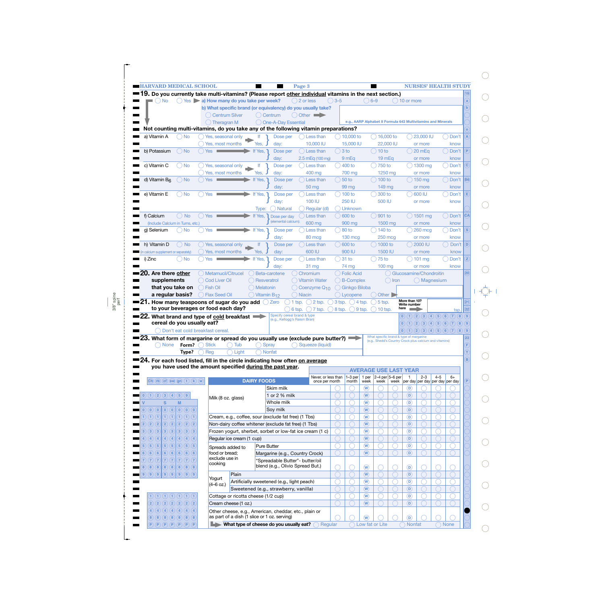|                                                                                                                                                                                  | <b>HARVARD MEDICAL SCHOOL</b> |                                                                        |                                     |                                   |                                                      | Page 3                                                                                                                    |                   |                                   |                           |                   |                             |                                                               |                         |                                       | <b>NURSES' HEALTH STUDY</b>             |                                 |
|----------------------------------------------------------------------------------------------------------------------------------------------------------------------------------|-------------------------------|------------------------------------------------------------------------|-------------------------------------|-----------------------------------|------------------------------------------------------|---------------------------------------------------------------------------------------------------------------------------|-------------------|-----------------------------------|---------------------------|-------------------|-----------------------------|---------------------------------------------------------------|-------------------------|---------------------------------------|-----------------------------------------|---------------------------------|
|                                                                                                                                                                                  |                               |                                                                        |                                     |                                   |                                                      | 9. Do you currently take multi-vitamins? (Please report other individual vitamins in the next section.)                   |                   |                                   |                           |                   |                             |                                                               |                         |                                       |                                         |                                 |
| <b>No</b>                                                                                                                                                                        |                               | $\bigcirc$ Yes $\blacktriangleright$ a) How many do you take per week? |                                     |                                   |                                                      | 2 or less                                                                                                                 | $\bigcirc$ 3–5    |                                   | $()6 - 9$                 |                   |                             | $) 10$ or more                                                |                         |                                       |                                         | a                               |
|                                                                                                                                                                                  |                               |                                                                        |                                     |                                   |                                                      | b) What specific brand (or equivalency) do you usually take?                                                              |                   |                                   |                           |                   |                             |                                                               |                         |                                       |                                         |                                 |
|                                                                                                                                                                                  |                               | ( ) Centrum Silver                                                     |                                     |                                   | () Centrum                                           | Other $\blacksquare$                                                                                                      |                   |                                   |                           |                   |                             |                                                               |                         |                                       |                                         |                                 |
|                                                                                                                                                                                  |                               | () Theragran M                                                         |                                     |                                   | One-A-Day Essential                                  |                                                                                                                           |                   |                                   |                           |                   |                             | e.g., AARP Alphabet II Formula 643 Multivitamins and Minerals |                         |                                       |                                         |                                 |
|                                                                                                                                                                                  |                               |                                                                        |                                     |                                   |                                                      | Not counting multi-vitamins, do you take any of the following vitamin preparations?                                       |                   |                                   |                           |                   |                             |                                                               |                         |                                       |                                         |                                 |
| a) Vitamin A                                                                                                                                                                     | ) No                          | Yes, seasonal only                                                     |                                     |                                   | Dose per                                             | Less than                                                                                                                 |                   | $(10.000)$ to                     |                           | $(16,000)$ to     |                             |                                                               | 23,000 IU               |                                       | Don't                                   |                                 |
|                                                                                                                                                                                  |                               | Yes, most months                                                       |                                     | Yes.                              | day:                                                 | 10,000 IU                                                                                                                 |                   | 15,000 IU                         |                           | 22,000 IU         |                             |                                                               | or more                 |                                       | know                                    |                                 |
| b) Potassium                                                                                                                                                                     | $)$ No                        | <b>Yes</b>                                                             |                                     | If Yes, 7                         | Dose per                                             | $( )$ Less than                                                                                                           | $3$ to            |                                   |                           | ) 10 to           |                             |                                                               | 20 mEq                  |                                       | Don't                                   |                                 |
|                                                                                                                                                                                  |                               |                                                                        |                                     |                                   | day:                                                 | $2.5$ mEq (100 mg)                                                                                                        |                   | 9 mEg                             |                           | 19 <sub>mEq</sub> |                             |                                                               | or more                 |                                       | know                                    |                                 |
| c) Vitamin C                                                                                                                                                                     | $\bigcirc$ No                 | Yes, seasonal only                                                     |                                     | <b>If</b>                         | Dose per                                             | Less than                                                                                                                 |                   | $(400)$ to                        |                           | 750 to            |                             |                                                               | 1300 mg                 |                                       | Don't                                   | C.                              |
|                                                                                                                                                                                  |                               | Yes, most months                                                       |                                     | Yes.                              | day:                                                 | 400 mg                                                                                                                    |                   | 700 mg                            |                           | 1250 mg           |                             |                                                               | or more                 |                                       | know                                    |                                 |
| d) Vitamin $Bf$                                                                                                                                                                  | $)$ No                        | <b>Yes</b>                                                             |                                     | If Yes,                           | Dose per                                             | Less than                                                                                                                 |                   | 50 to                             |                           | ) 100 to          |                             |                                                               | $()$ 150 mg             |                                       | Don't                                   | <b>B6</b>                       |
|                                                                                                                                                                                  |                               |                                                                        |                                     |                                   | day:                                                 | 50 mg                                                                                                                     |                   | 99 mg                             |                           | 149 mg            |                             |                                                               | or more                 |                                       | know                                    |                                 |
| e) Vitamin E                                                                                                                                                                     | $\log$                        | <b>Yes</b>                                                             |                                     | If Yes,                           | Dose per                                             | Less than                                                                                                                 |                   | ) 100 to                          |                           | 300 to            |                             |                                                               | 600 IU                  |                                       | Don't                                   |                                 |
|                                                                                                                                                                                  |                               |                                                                        |                                     |                                   | day:                                                 | 100 IU                                                                                                                    |                   | <b>250 IU</b>                     |                           | 500 IU            |                             |                                                               | or more                 |                                       | know                                    |                                 |
|                                                                                                                                                                                  |                               |                                                                        |                                     | Type:                             | () Natural                                           | Regular (dl)                                                                                                              |                   | ) Unknown                         |                           |                   |                             |                                                               |                         |                                       |                                         |                                 |
| f) Calcium                                                                                                                                                                       | $\bigcirc$ No                 | <b>Yes</b>                                                             |                                     | If Yes,                           | Dose per day                                         | Less than                                                                                                                 |                   | $\big)$ 600 to                    |                           | $\sqrt{901}$ to   |                             |                                                               | 1501 mg                 |                                       | Don't                                   | <b>CA</b>                       |
| (Include Calcium in Tums, etc.)                                                                                                                                                  |                               |                                                                        |                                     |                                   | (elemental calcium):                                 | 600 mg                                                                                                                    |                   | 900 mg                            |                           | 1500 mg           |                             |                                                               | or more                 |                                       | know                                    |                                 |
| g) Selenium                                                                                                                                                                      | ) No                          | <b>Yes</b>                                                             |                                     | If Yes, 7                         | Dose per                                             | Less than                                                                                                                 |                   | $\big)80$ to                      |                           | $\big)$ 140 to    |                             |                                                               | <b>260 mcg</b>          |                                       | Don't                                   |                                 |
|                                                                                                                                                                                  |                               |                                                                        |                                     |                                   | day:                                                 | 80 mcg                                                                                                                    |                   | <b>130 mcg</b>                    |                           | <b>250 mcg</b>    |                             |                                                               | or more                 |                                       | know                                    |                                 |
| h) Vitamin D                                                                                                                                                                     | $\bigcirc$ No                 | Yes, seasonal only                                                     |                                     | f                                 | Dose per                                             | Less than                                                                                                                 |                   | $000$ to                          |                           | $) 1000$ to       |                             |                                                               | 2000 IU                 |                                       | Don't $\Box$                            |                                 |
| calcium supplement or separately)                                                                                                                                                |                               | Yes, most months                                                       |                                     | Yes,                              | day:                                                 | 600 IU                                                                                                                    |                   | 900 IU                            |                           | 1500 IU           |                             |                                                               | or more                 |                                       | know                                    |                                 |
| i) Zinc                                                                                                                                                                          | ∴) No                         | <b>Yes</b>                                                             |                                     | If Yes, 7                         | Dose per                                             | Less than                                                                                                                 |                   | $31$ to                           |                           | $75$ to           |                             |                                                               | $101 \text{ mg}$        |                                       | Don't                                   |                                 |
|                                                                                                                                                                                  |                               |                                                                        |                                     |                                   | day:                                                 | 31 <sub>mg</sub>                                                                                                          |                   | 74 mg                             |                           | $100 \text{ ma}$  |                             |                                                               | or more                 |                                       | know                                    |                                 |
| 20. Are there other                                                                                                                                                              |                               | Metamucil/Citrucel                                                     |                                     |                                   | Beta-carotene                                        | Chromium                                                                                                                  |                   | ◯ Folic Acid                      |                           |                   |                             | Glucosamine/Chondroitin                                       |                         |                                       |                                         | (20)                            |
| supplements                                                                                                                                                                      |                               | Cod Liver Oil                                                          |                                     | Resveratrol                       |                                                      | <b>Vitamin Water</b>                                                                                                      |                   | B-Complex                         |                           |                   | $\bigcirc$ Iron             |                                                               |                         | () Magnesium                          |                                         |                                 |
|                                                                                                                                                                                  |                               |                                                                        |                                     |                                   |                                                      |                                                                                                                           |                   |                                   |                           |                   |                             |                                                               |                         |                                       |                                         |                                 |
|                                                                                                                                                                                  |                               |                                                                        |                                     |                                   |                                                      |                                                                                                                           |                   |                                   |                           |                   |                             |                                                               |                         |                                       |                                         |                                 |
| that you take on<br>a regular basis?                                                                                                                                             |                               | () Fish Oil<br>Flax Seed Oil                                           |                                     | ) Melatonin<br>) Vitamin $B_{12}$ |                                                      | Coenzyme Q <sub>10</sub><br><b>Niacin</b>                                                                                 |                   | ( ) Ginkgo Biloba<br>$)$ Lycopene |                           | Other D           |                             | More than 10?                                                 |                         |                                       |                                         | $\sqrt{21}$                     |
|                                                                                                                                                                                  |                               | ${\bf 21}.$ How many teaspoons of sugar do you add $\bigcirc$ Zero     |                                     |                                   |                                                      | $\bigcirc$ 2 tsp.<br>$\big)$ 1 tsp.                                                                                       | $\bigcirc$ 3 tsp. | $\bigcirc$ 4 tsp.                 |                           | 5 tsp.            |                             | Write number<br>here                                          |                         |                                       |                                         |                                 |
|                                                                                                                                                                                  |                               | to your beverages or food each day?                                    |                                     |                                   | Specify cereal brand & type                          | $6$ tsp.<br>$\bigcap$ 7 tsp.                                                                                              | $\bigcirc$ 8 tsp. | $\bigcirc$ 9 tsp.                 |                           | $10$ tsp.         |                             | $\boxed{2}$<br>(0)(1)                                         | $\mathbf{3}$            | $\left(5\right)$<br>$\left( 4\right)$ | tsp.<br>(7)<br>(8)                      | $\sqrt{22}$<br>$\left(9\right)$ |
|                                                                                                                                                                                  | cereal do you usually eat?    | 22. What brand and type of cold breakfast                              |                                     |                                   | (e.g., Kellogg's Raisin Bran)                        |                                                                                                                           |                   |                                   |                           |                   |                             | (0)(1)(2)                                                     | $\left(3\right)$<br>(4) |                                       | (6)<br>(5)(6)(7)(8)                     | $\left(9\right)$                |
|                                                                                                                                                                                  |                               | Don't eat cold breakfast cereal.                                       |                                     |                                   |                                                      |                                                                                                                           |                   |                                   |                           |                   |                             |                                                               |                         |                                       | (0)(1)(2)(3)(4)(5)(6)(7)(8)             | $\left(9\right)$                |
|                                                                                                                                                                                  |                               |                                                                        |                                     |                                   |                                                      |                                                                                                                           |                   |                                   |                           |                   |                             | What specific brand & type of margarine                       |                         |                                       |                                         |                                 |
| <b>None</b>                                                                                                                                                                      | Form?                         | ( Stick                                                                | $\bigcap$ Tub                       | ⊖                                 | Spray                                                | ${\bf 23.}$ What form of margarine or spread do you usually use (exclude pure butter?) $\blacksquare$<br>Squeeze (liquid) |                   |                                   |                           |                   |                             | (e.g., Shedd's Country Crock plus calcium and vitamins)       |                         |                                       |                                         | F                               |
|                                                                                                                                                                                  | Type?                         | Reg                                                                    | Light                               |                                   | <b>Nonfat</b>                                        |                                                                                                                           |                   |                                   |                           |                   |                             |                                                               |                         |                                       |                                         |                                 |
|                                                                                                                                                                                  |                               |                                                                        |                                     |                                   |                                                      |                                                                                                                           |                   |                                   |                           |                   |                             |                                                               |                         |                                       |                                         | B                               |
|                                                                                                                                                                                  |                               | you have used the amount specified during the past year.               |                                     |                                   |                                                      | $\blacksquare$ 24. For each food listed, fill in the circle indicating how often <u>on average</u>                        |                   |                                   |                           |                   |                             |                                                               |                         |                                       |                                         |                                 |
|                                                                                                                                                                                  |                               |                                                                        |                                     |                                   |                                                      |                                                                                                                           |                   |                                   |                           |                   |                             | <b>AVERAGE USE LAST YEAR</b>                                  |                         |                                       |                                         |                                 |
| $(Ch)$ $(rb)$ $(cf)$ $sw$ $gn$ $(t)$ $(k)$ $(w)$                                                                                                                                 |                               |                                                                        |                                     | <b>DAIRY FOODS</b>                |                                                      | Never, or less than<br>once per month                                                                                     |                   | $1-3$ per<br>month                | 1 per<br>week             | week              | $2-4$ per $5-6$ per<br>week | $\overline{1}$                                                | $2 - 3$                 | $4 - 5$                               | $6+$<br>per day per day per day per day |                                 |
|                                                                                                                                                                                  |                               |                                                                        |                                     |                                   | Skim milk                                            |                                                                                                                           |                   |                                   | $\left(\mathbf{W}\right)$ |                   |                             | (D)                                                           |                         |                                       |                                         |                                 |
|                                                                                                                                                                                  |                               |                                                                        |                                     |                                   | 1 or 2 % milk                                        |                                                                                                                           |                   |                                   | $\circled{w}$             |                   |                             | (D)                                                           |                         |                                       |                                         |                                 |
| s                                                                                                                                                                                | M                             | Milk (8 oz. glass)                                                     |                                     |                                   | Whole milk                                           |                                                                                                                           |                   |                                   | $\circled{w}$             |                   |                             | $^\circledR$                                                  |                         |                                       |                                         |                                 |
| $\circ$ $\circ$<br>$\circledcirc$                                                                                                                                                | $\left( 0\right) 0$           |                                                                        |                                     |                                   | Soy milk                                             |                                                                                                                           |                   |                                   | $\circled{w}$             |                   |                             | $\circledR$                                                   |                         |                                       |                                         |                                 |
| $\  (1) (1)$                                                                                                                                                                     | (1)(1)(1)                     |                                                                        |                                     |                                   | Cream, e.g., coffee, sour (exclude fat free) (1 Tbs) |                                                                                                                           |                   |                                   | $\circled{w}$             |                   |                             | $\circledR$                                                   |                         |                                       |                                         |                                 |
| (2)(2)<br>(2)(2)                                                                                                                                                                 | (2)(2)(2)                     |                                                                        |                                     |                                   | Non-dairy coffee whitener (exclude fat free) (1 Tbs) |                                                                                                                           |                   |                                   | $\circled{w}$             |                   |                             | $\circledR$                                                   |                         |                                       |                                         |                                 |
|                                                                                                                                                                                  |                               |                                                                        |                                     |                                   |                                                      |                                                                                                                           |                   |                                   |                           |                   |                             |                                                               |                         |                                       |                                         |                                 |
| $\left( 3\right)$ $\left( 3\right)$<br>(4)(4)<br>(4)(4)                                                                                                                          | (4)(4)(4)                     |                                                                        |                                     |                                   |                                                      | Frozen yogurt, sherbet, sorbet or low-fat ice cream (1 c)                                                                 |                   |                                   | $\circled{w}$             |                   |                             | $\circledR$<br>$\circledR$                                    |                         |                                       |                                         |                                 |
| (5)(5)<br>(5)                                                                                                                                                                    |                               |                                                                        | Regular ice cream (1 cup)           |                                   |                                                      |                                                                                                                           |                   |                                   | $\circled{w}$             |                   |                             |                                                               |                         |                                       |                                         |                                 |
| (5)                                                                                                                                                                              | (5)(5)(5)                     | Spreads added to                                                       |                                     | <b>Pure Butter</b>                |                                                      |                                                                                                                           |                   |                                   | $\widehat{(\mathsf{W})}$  |                   |                             | $\circledR$                                                   |                         |                                       |                                         |                                 |
| (6)(6)                                                                                                                                                                           | (6)(6)(6)(6)(6)               | food or bread:<br>exclude use in                                       |                                     |                                   |                                                      | Margarine (e.g., Country Crock)                                                                                           |                   |                                   | $\circledR$               |                   |                             | $\circledcirc$                                                |                         |                                       |                                         |                                 |
| (7)(7  <br>(7)(7)                                                                                                                                                                | (7)(7)(7)                     | cooking                                                                |                                     |                                   |                                                      | 'Spreadable Butter"- butter/oil                                                                                           |                   |                                   |                           |                   |                             |                                                               |                         |                                       |                                         |                                 |
| (8)(8)(8)(8)(8)(8)(8)                                                                                                                                                            |                               |                                                                        |                                     |                                   |                                                      | blend (e.g., Olivio Spread But.)                                                                                          |                   |                                   | $\circledR$               |                   |                             | $\circledcirc$                                                |                         |                                       |                                         |                                 |
|                                                                                                                                                                                  |                               | Yogurt                                                                 | Plain                               |                                   |                                                      |                                                                                                                           |                   |                                   | $\circled{w}$             |                   |                             | $\circledR$                                                   |                         |                                       |                                         |                                 |
|                                                                                                                                                                                  |                               | $(4 - 6$ oz.)                                                          |                                     |                                   | Artificially sweetened (e.g., light peach)           |                                                                                                                           |                   |                                   | $\circled{w}$             |                   |                             | $\circledR$                                                   |                         |                                       |                                         |                                 |
|                                                                                                                                                                                  |                               |                                                                        |                                     |                                   | Sweetened (e.g., strawberry, vanilla)                |                                                                                                                           |                   |                                   | $\circled{w}$             |                   |                             | $\left( \textbf{D}\right)$                                    |                         |                                       |                                         |                                 |
| $\bigcap$ $\bigcap$ $\bigcap$ $\bigcap$ $\bigcap$ $\bigcap$ $\bigcap$ $\bigcap$ $\bigcap$                                                                                        |                               |                                                                        | Cottage or ricotta cheese (1/2 cup) |                                   |                                                      |                                                                                                                           |                   |                                   | $\circledR$               |                   |                             | $\circledR$                                                   |                         |                                       |                                         |                                 |
| $\begin{pmatrix} 0 & 1 & 2 & 3 & 4 & 5 & 9 \end{pmatrix}$<br>$\vert 0 \rangle$<br>1) (1) (1)<br>$\vert 8 \rangle$<br>(9)(9)(9)(9)(9)(9)(9)<br>$2)$ $2)$ $2)$ $2)$ $2)$ $2)$ $2)$ |                               |                                                                        | Cream cheese (1 oz.)                |                                   |                                                      |                                                                                                                           |                   |                                   | $\binom{}{W}$             |                   |                             | $\left( \textbf{D}\right)$                                    |                         |                                       |                                         |                                 |
| $\fbox{4)}$ (4) (4) (4) (4) (4) (4)                                                                                                                                              |                               |                                                                        |                                     |                                   | as part of a dish (1 slice or 1 oz. serving)         | Other cheese, e.g., American, cheddar, etc., plain or                                                                     |                   |                                   | $\left(\mathbf{W}\right)$ |                   |                             | $\circledcirc$                                                |                         |                                       |                                         |                                 |

3/8" spine perf

> $\bigcirc$  $\bigcirc$  $\bigcirc$  $\bigcirc$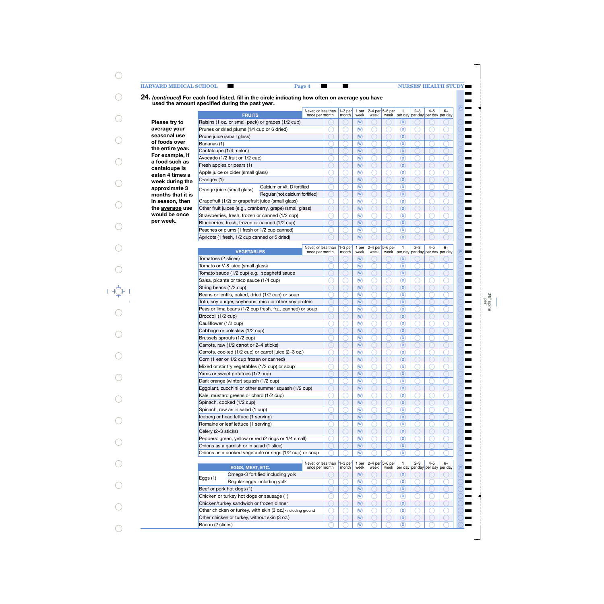**P**

**Read** - $\blacksquare$  $\blacksquare$  $\blacksquare$  $\overline{\phantom{0}}$ - $\blacksquare$  $\blacksquare$  $\blacksquare$  $\blacksquare$ 

**P**

 $\blacksquare$  $\blacksquare$  $\overline{\phantom{0}}$ 

-▅  $\blacksquare$ 

> Ξ,  $\blacksquare$

> > $\overline{\phantom{0}}$

 $\blacksquare$  $\blacksquare$ 

 $\blacksquare$  $\blacksquare$  $\blacksquare$ 

 $\blacksquare$  $\blacksquare$  $\blacksquare$ Ē -

 $\overline{\phantom{a}}$ 

l wa

œ ▅

**P**

#### **24.** *(continued)* **For each food listed, fill in the circle indicating how often on average you have used the amount specified during the past year.**

**Please try to average your seasonal use of foods over the entire year. For example, if a food such as cantaloupe is eaten 4 times a week during the approximate 3 months that it is in season, then the average use would be once per week.**

|                            | specineu <u>uuring uie past year</u> .        |                                                             |                                       |  |                    |                           |                           | 1                         | 2–3 | $4 - 5$ | 6+                                         |      |
|----------------------------|-----------------------------------------------|-------------------------------------------------------------|---------------------------------------|--|--------------------|---------------------------|---------------------------|---------------------------|-----|---------|--------------------------------------------|------|
|                            | <b>FRUITS</b>                                 |                                                             | Never, or less than<br>once per month |  | $1-3$ per<br>month | 1 per<br>week             | $2-4$ per 5-6 per<br>week | week                      |     |         | per day per day per day per day            |      |
|                            |                                               | Raisins (1 oz. or small pack) or grapes (1/2 cup)           |                                       |  |                    | $(\mathbf{W})$            |                           |                           | D)  |         |                                            |      |
|                            | Prunes or dried plums (1/4 cup or 6 dried)    |                                                             |                                       |  |                    | $\left(\mathsf{w}\right)$ |                           |                           | D   |         |                                            |      |
| Prune juice (small glass)  |                                               |                                                             |                                       |  |                    | $(\mathbf{W})$            |                           |                           | D   |         |                                            |      |
| Bananas (1)                |                                               |                                                             |                                       |  |                    | (W)                       |                           |                           | D)  |         |                                            |      |
|                            | Cantaloupe (1/4 melon)                        |                                                             |                                       |  |                    | $(\mathbf{W})$            |                           |                           | D   |         |                                            |      |
|                            | Avocado (1/2 fruit or 1/2 cup)                |                                                             |                                       |  |                    | (W)                       |                           |                           | D)  |         |                                            |      |
| Fresh apples or pears (1)  |                                               |                                                             |                                       |  |                    | $(\mathbf{W})$            |                           |                           | D   |         |                                            |      |
|                            | Apple juice or cider (small glass)            |                                                             |                                       |  |                    | (W)                       |                           |                           | D)  |         |                                            |      |
| Oranges (1)                |                                               |                                                             |                                       |  |                    | $(\mathbf{W})$            |                           |                           | D   |         |                                            |      |
|                            |                                               | Calcium or Vit. D fortified                                 |                                       |  |                    | (W)                       |                           |                           | D)  |         |                                            |      |
| Orange juice (small glass) |                                               | Regular (not calcium fortified)                             |                                       |  |                    | $\left(\mathbf{W}\right)$ |                           |                           | D)  |         |                                            |      |
|                            |                                               | Grapefruit (1/2) or grapefruit juice (small glass)          |                                       |  |                    | (W)                       |                           |                           | D)  |         |                                            |      |
|                            |                                               | Other fruit juices (e.g., cranberry, grape) (small glass)   |                                       |  |                    | $\left(\mathbf{W}\right)$ |                           |                           | D)  |         |                                            |      |
|                            |                                               | Strawberries, fresh, frozen or canned (1/2 cup)             |                                       |  |                    | (W)                       |                           |                           | D)  |         |                                            |      |
|                            |                                               | Blueberries, fresh, frozen or canned (1/2 cup)              |                                       |  |                    | $\hat{w}$                 |                           |                           | D)  |         |                                            |      |
|                            |                                               | Peaches or plums (1 fresh or 1/2 cup canned)                |                                       |  |                    | (W)                       |                           |                           | D)  |         |                                            |      |
|                            | Apricots (1 fresh, 1/2 cup canned or 5 dried) |                                                             |                                       |  |                    | $\overline{w}$            |                           |                           | D   |         |                                            |      |
|                            |                                               |                                                             |                                       |  |                    |                           |                           |                           |     |         |                                            |      |
|                            | <b>VEGETABLES</b>                             |                                                             | Never, or less than<br>once per month |  | $1-3$ per<br>month | 1 per<br>week             | week                      | 2–4 per $5-6$ per<br>week | 1   | $2 - 3$ | $4 - 5$<br>per day per day per day per day | 6+   |
| Tomatoes (2 slices)        |                                               |                                                             |                                       |  |                    | (W)                       |                           |                           | D)  |         |                                            |      |
|                            | Tomato or V-8 juice (small glass)             |                                                             |                                       |  |                    | $\left(\mathsf{w}\right)$ |                           |                           | D)  |         |                                            |      |
|                            |                                               | Tomato sauce (1/2 cup) e.g., spaghetti sauce                |                                       |  |                    | $\hat{w}$                 |                           |                           | D)  |         |                                            |      |
|                            | Salsa, picante or taco sauce (1/4 cup)        |                                                             |                                       |  |                    | (W)                       |                           |                           | D)  |         |                                            |      |
| String beans (1/2 cup)     |                                               |                                                             |                                       |  |                    | $\hat{w}$                 |                           |                           | D   |         |                                            |      |
|                            |                                               | Beans or lentils, baked, dried (1/2 cup) or soup            |                                       |  |                    | (W)                       |                           |                           | D)  |         |                                            |      |
|                            |                                               |                                                             |                                       |  |                    | $\hat{w}$                 |                           |                           | D)  |         |                                            |      |
|                            |                                               | Tofu, soy burger, soybeans, miso or other soy protein       |                                       |  |                    | (W)                       |                           |                           | D)  |         |                                            |      |
|                            |                                               | Peas or lima beans (1/2 cup fresh, frz., canned) or soup    |                                       |  |                    | $\hat{w}$                 |                           |                           | D)  |         |                                            |      |
| Broccoli (1/2 cup)         |                                               |                                                             |                                       |  |                    | (W)                       |                           |                           |     |         |                                            |      |
| Cauliflower (1/2 cup)      |                                               |                                                             |                                       |  |                    |                           |                           |                           | D)  |         |                                            |      |
|                            | Cabbage or coleslaw (1/2 cup)                 |                                                             |                                       |  |                    | $\hat{w}$                 |                           |                           | D)  |         |                                            |      |
|                            | Brussels sprouts (1/2 cup)                    |                                                             |                                       |  |                    | (W)                       |                           |                           | D)  |         |                                            |      |
|                            | Carrots, raw (1/2 carrot or 2-4 sticks)       |                                                             |                                       |  |                    | $\left(\mathbf{W}\right)$ |                           |                           | D)  |         |                                            |      |
|                            |                                               | Carrots, cooked (1/2 cup) or carrot juice (2-3 oz.)         |                                       |  |                    | (W)                       |                           |                           | D)  |         |                                            |      |
|                            | Corn (1 ear or 1/2 cup frozen or canned)      |                                                             |                                       |  |                    | $\left(\mathbf{W}\right)$ |                           |                           | D)  |         |                                            |      |
|                            |                                               | Mixed or stir fry vegetables (1/2 cup) or soup              |                                       |  |                    | W                         |                           |                           | D)  |         |                                            |      |
|                            | Yams or sweet potatoes (1/2 cup)              |                                                             |                                       |  |                    | W                         |                           |                           | D.  |         |                                            |      |
|                            | Dark orange (winter) squash (1/2 cup)         |                                                             |                                       |  |                    | $\left(\mathsf{w}\right)$ |                           |                           | D)  |         |                                            |      |
|                            |                                               | Eggplant, zucchini or other summer squash (1/2 cup)         |                                       |  |                    | $\left(\mathbf{W}\right)$ |                           |                           | D)  |         |                                            |      |
|                            | Kale, mustard greens or chard (1/2 cup)       |                                                             |                                       |  |                    | $\left(\mathsf{w}\right)$ |                           |                           | D)  |         |                                            |      |
|                            | Spinach, cooked (1/2 cup)                     |                                                             |                                       |  |                    | $\left(\mathbf{W}\right)$ |                           |                           | D)  |         |                                            |      |
|                            | Spinach, raw as in salad (1 cup)              |                                                             |                                       |  |                    | $\left(\mathsf{w}\right)$ |                           |                           | D)  |         |                                            |      |
|                            | Iceberg or head lettuce (1 serving)           |                                                             |                                       |  |                    | $\left(\mathbf{W}\right)$ |                           |                           | D)  |         |                                            |      |
|                            | Romaine or leaf lettuce (1 serving)           |                                                             |                                       |  |                    | $\left(\mathsf{w}\right)$ |                           |                           | D)  |         |                                            |      |
| Celery (2-3 sticks)        |                                               |                                                             |                                       |  |                    | $(\mathsf{W})$            |                           |                           | D)  |         |                                            |      |
|                            |                                               | Peppers: green, yellow or red (2 rings or 1/4 small)        |                                       |  |                    | $\left(\mathsf{W}\right)$ |                           |                           | D)  |         |                                            |      |
|                            | Onions as a garnish or in salad (1 slice)     |                                                             |                                       |  |                    | $(\mathsf{W})$            |                           |                           | D)  |         |                                            |      |
|                            |                                               | Onions as a cooked vegetable or rings (1/2 cup) or soup     |                                       |  |                    | (W)                       |                           |                           | D)  |         |                                            |      |
|                            |                                               |                                                             | Never, or less than                   |  | $1-3$ per          | 1 per                     |                           | 2-4 per 5-6 per           | 1   | $2 - 3$ | $4 - 5$                                    | $6+$ |
|                            | EGGS, MEAT, ETC.                              |                                                             | once per month                        |  | month              | week                      | week                      | week                      |     |         | per day per day per day per day            |      |
|                            |                                               | Omega-3 fortified including yolk                            |                                       |  |                    | $(\mathsf{W})$            |                           |                           | D)  |         |                                            |      |
| Eggs $(1)$                 | Regular eggs including yolk                   |                                                             |                                       |  |                    | $\left(\mathsf{W}\right)$ |                           |                           | D)  |         |                                            |      |
| Beef or pork hot dogs (1)  |                                               |                                                             |                                       |  |                    | $\left(\mathbf{W}\right)$ |                           |                           | D)  |         |                                            |      |
|                            | Chicken or turkey hot dogs or sausage (1)     |                                                             |                                       |  |                    | $\left(\mathsf{W}\right)$ |                           |                           | D)  |         |                                            |      |
|                            | Chicken/turkey sandwich or frozen dinner      |                                                             |                                       |  |                    | $(\mathsf{W})$            |                           |                           | D)  |         |                                            |      |
|                            |                                               | Other chicken or turkey, with skin (3 oz.)-including ground |                                       |  |                    | (W)                       |                           |                           | D)  |         |                                            |      |
|                            | Other chicken or turkey, without skin (3 oz.) |                                                             |                                       |  |                    | $(\mathsf{W})$            |                           |                           | D)  |         |                                            |      |
| Bacon (2 slices)           |                                               |                                                             |                                       |  |                    | (W)                       |                           |                           | D   |         |                                            |      |

 $\begin{picture}(120,115) \put(0,0){\line(1,0){150}} \put(15,0){\line(1,0){150}} \put(15,0){\line(1,0){150}} \put(15,0){\line(1,0){150}} \put(15,0){\line(1,0){150}} \put(15,0){\line(1,0){150}} \put(15,0){\line(1,0){150}} \put(15,0){\line(1,0){150}} \put(15,0){\line(1,0){150}} \put(15,0){\line(1,0){150}} \put(15,0){\line(1,0){150$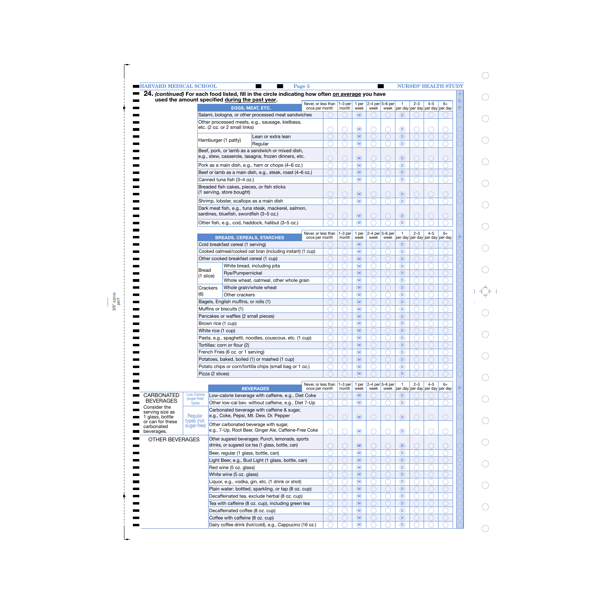|                                     | <b>EXAMPLE HARVARD MEDICAL SCHOOL</b>                                        |                    |                                                 | Page 5                                                                                            |                                       |                    |                                                                 |      |                             |                                      |         |         | <b>NURSES' HEALTH STUDY</b>             |
|-------------------------------------|------------------------------------------------------------------------------|--------------------|-------------------------------------------------|---------------------------------------------------------------------------------------------------|---------------------------------------|--------------------|-----------------------------------------------------------------|------|-----------------------------|--------------------------------------|---------|---------|-----------------------------------------|
|                                     |                                                                              |                    |                                                 | 24. (continued) For each food listed, fill in the circle indicating how often on average you have |                                       |                    |                                                                 |      |                             |                                      |         |         |                                         |
|                                     |                                                                              |                    | used the amount specified during the past year. |                                                                                                   | Never, or less than                   | $1-3$ per          | 1 per                                                           |      | $2-4$ per 5-6 per           | $\mathbf{1}$                         | $2 - 3$ | $4 - 5$ | $6+$                                    |
|                                     |                                                                              |                    |                                                 | <b>EGGS, MEAT, ETC.</b>                                                                           | once per month                        | month              | week                                                            | week |                             |                                      |         |         | week per day per day per day per day    |
|                                     |                                                                              |                    |                                                 | Salami, bologna, or other processed meat sandwiches                                               |                                       |                    | $(\mathsf{W})$                                                  |      |                             | (D)                                  |         |         |                                         |
|                                     |                                                                              |                    |                                                 | Other processed meats, e.g., sausage, kielbasa,                                                   |                                       |                    |                                                                 |      |                             |                                      |         |         |                                         |
|                                     |                                                                              |                    | etc. (2 oz. or 2 small links)                   |                                                                                                   |                                       |                    | $\left(\mathsf{W}\right)$                                       |      |                             | (D)                                  |         |         |                                         |
|                                     |                                                                              |                    |                                                 | Lean or extra lean                                                                                |                                       |                    | $(\mathsf{W})$                                                  |      |                             | D)                                   |         |         |                                         |
|                                     |                                                                              |                    | Hamburger (1 patty)                             | Regular                                                                                           |                                       |                    | $\left(\mathsf{W}\right)$                                       |      |                             | (D)                                  |         |         |                                         |
|                                     |                                                                              |                    |                                                 | Beef, pork, or lamb as a sandwich or mixed dish,                                                  |                                       |                    |                                                                 |      |                             |                                      |         |         |                                         |
|                                     |                                                                              |                    |                                                 | e.g., stew, casserole, lasagna, frozen dinners, etc.                                              |                                       |                    | $\left(\mathbf{W}\right)$                                       |      |                             | D)                                   |         |         |                                         |
|                                     |                                                                              |                    |                                                 | Pork as a main dish, e.g., ham or chops (4-6 oz.)                                                 |                                       |                    | $\left(\mathbf{W}\right)$                                       |      |                             | (D)                                  |         |         |                                         |
|                                     |                                                                              |                    |                                                 | Beef or lamb as a main dish, e.g., steak, roast (4-6 oz.)                                         |                                       |                    | $(\mathsf{W})$                                                  |      |                             | D)                                   |         |         |                                         |
|                                     |                                                                              |                    |                                                 |                                                                                                   |                                       |                    |                                                                 |      |                             | (D)                                  |         |         |                                         |
|                                     |                                                                              |                    | Canned tuna fish (3–4 oz.)                      |                                                                                                   |                                       |                    | $\left(\mathsf{W}\right)$                                       |      |                             |                                      |         |         |                                         |
|                                     |                                                                              |                    | (1 serving, store bought)                       | Breaded fish cakes, pieces, or fish sticks                                                        |                                       |                    |                                                                 |      |                             |                                      |         |         |                                         |
|                                     |                                                                              |                    |                                                 |                                                                                                   |                                       |                    | $\left(\mathbf{W}\right)$                                       |      |                             | D)                                   |         |         |                                         |
|                                     |                                                                              |                    |                                                 | Shrimp, lobster, scallops as a main dish                                                          |                                       |                    | $\left(\mathbf{W}\right)$                                       |      |                             | (D)                                  |         |         |                                         |
|                                     |                                                                              |                    |                                                 | Dark meat fish, e.g., tuna steak, mackerel, salmon,                                               |                                       |                    |                                                                 |      |                             |                                      |         |         |                                         |
|                                     |                                                                              |                    | sardines, bluefish, swordfish (3-5 oz.)         |                                                                                                   |                                       |                    | $\left(\mathsf{W}\right)$                                       |      |                             | D)                                   |         |         |                                         |
|                                     |                                                                              |                    |                                                 | Other fish, e.g., cod, haddock, halibut (3-5 oz.)                                                 |                                       |                    | $\left(\overline{\mathsf{W}}\right)$                            |      |                             | D)                                   |         |         |                                         |
|                                     |                                                                              |                    |                                                 |                                                                                                   | Never, or less than                   | $1-3$ per          | 1 per                                                           |      | 2-4 per 5-6 per             | $\mathbf{1}$                         | $2 - 3$ | $4 - 5$ | $6+$                                    |
|                                     |                                                                              |                    |                                                 | <b>BREADS, CEREALS, STARCHES</b>                                                                  | once per month                        | month              | week                                                            | week | week                        |                                      |         |         | per day per day per day per day         |
|                                     |                                                                              |                    | Cold breakfast cereal (1 serving)               |                                                                                                   |                                       |                    | $(\mathsf{W})$                                                  |      |                             | D)                                   |         |         |                                         |
|                                     |                                                                              |                    |                                                 | Cooked oatmeal/cooked oat bran (including instant) (1 cup)                                        |                                       |                    | $(\mathsf{w})$                                                  |      |                             | D)                                   |         |         |                                         |
|                                     |                                                                              |                    | Other cooked breakfast cereal (1 cup)           |                                                                                                   |                                       |                    | $(\mathsf{W})$                                                  |      |                             | D)                                   |         |         |                                         |
|                                     |                                                                              |                    |                                                 | White bread, including pita                                                                       |                                       |                    | $\left(\mathsf{W}\right)$                                       |      |                             | (D)                                  |         |         |                                         |
|                                     |                                                                              | <b>Bread</b>       | Rye/Pumpernickel                                |                                                                                                   |                                       |                    | $(\mathsf{W})$                                                  |      |                             | D)                                   |         |         |                                         |
|                                     |                                                                              | (1 slice)          |                                                 | Whole wheat, oatmeal, other whole grain                                                           |                                       |                    | $\left(\mathsf{W}\right)$                                       |      |                             | (D)                                  |         |         |                                         |
|                                     |                                                                              |                    | Whole grain/whole wheat                         |                                                                                                   |                                       |                    | $\left(\mathbf{W}\right)$                                       |      |                             | D)                                   |         |         |                                         |
|                                     | (6)                                                                          | Crackers           |                                                 |                                                                                                   |                                       |                    |                                                                 |      |                             |                                      |         |         |                                         |
|                                     |                                                                              |                    | Other crackers                                  |                                                                                                   |                                       |                    | $\left(\mathsf{W}\right)$                                       |      |                             | (D)                                  |         |         |                                         |
|                                     |                                                                              |                    | Bagels, English muffins, or rolls (1)           |                                                                                                   |                                       |                    | $\left(\mathbf{W}\right)$                                       |      |                             | $\left( \mathsf{D}\right)$           |         |         |                                         |
|                                     |                                                                              |                    | Muffins or biscuits (1)                         |                                                                                                   |                                       |                    | $\left(\mathsf{W}\right)$                                       |      |                             | (D)                                  |         |         |                                         |
|                                     |                                                                              |                    | Pancakes or waffles (2 small pieces)            |                                                                                                   |                                       |                    | $\left(\mathbf{W}\right)$                                       |      |                             | $\left( \mathsf{D}\right)$           |         |         |                                         |
|                                     |                                                                              | Brown rice (1 cup) |                                                 |                                                                                                   |                                       |                    | $\left(\mathbf{W}\right)$                                       |      |                             | $\circled{\scriptstyle{\mathrm{D}}}$ |         |         |                                         |
|                                     |                                                                              | White rice (1 cup) |                                                 |                                                                                                   |                                       |                    | $\left(\mathbf{W}\right)$                                       |      |                             | $\left( \mathsf{D}\right)$           |         |         |                                         |
|                                     |                                                                              |                    |                                                 | Pasta, e.g., spaghetti, noodles, couscous. etc. (1 cup)                                           |                                       |                    | $\widehat{(\mathsf{w})}$                                        |      |                             | $\circ$                              |         |         |                                         |
|                                     |                                                                              |                    | Tortillas: corn or flour (2)                    |                                                                                                   |                                       |                    | $(\mathsf{W})$                                                  |      |                             | D)                                   |         |         |                                         |
|                                     |                                                                              |                    | French Fries (6 oz. or 1 serving)               |                                                                                                   |                                       |                    | $\circledast$                                                   |      |                             | (D)                                  |         |         |                                         |
|                                     |                                                                              |                    |                                                 | Potatoes, baked, boiled (1) or mashed (1 cup)                                                     |                                       |                    | $\widehat{(\mathsf{W})}$                                        |      |                             | $\left( \textbf{D}\right)$           |         |         |                                         |
|                                     |                                                                              |                    |                                                 | Potato chips or corn/tortilla chips (small bag or 1 oz.)                                          |                                       |                    | $\circledR$                                                     |      |                             | (D)                                  |         |         |                                         |
|                                     |                                                                              | Pizza (2 slices)   |                                                 |                                                                                                   |                                       |                    | $\widehat{(\mathsf{W})}$                                        |      |                             | $\left( \mathsf{D}\right)$           |         |         |                                         |
|                                     |                                                                              |                    |                                                 |                                                                                                   |                                       |                    |                                                                 |      |                             |                                      |         |         |                                         |
|                                     |                                                                              |                    |                                                 | <b>BEVERAGES</b>                                                                                  | Never, or less than<br>once per month | $1-3$ per<br>month | 1 per<br>week                                                   | week | $2-4$ per $5-6$ per<br>week | $\mathbf{1}$                         | $2 - 3$ | $4 - 5$ | $6+$<br>per day per day per day per day |
| <b>CARBONATED</b>                   | Low-Calorie                                                                  |                    |                                                 | Low-calorie beverage with caffeine, e.g., Diet Coke                                               |                                       |                    | $(\mathsf{W})$                                                  |      |                             | D)                                   |         |         |                                         |
| <b>BEVERAGES</b>                    | (sugar-free)<br>types                                                        |                    |                                                 | Other low-cal bev. without caffeine, e.g., Diet 7-Up                                              |                                       |                    | $\circledR$                                                     |      |                             | D)                                   |         |         |                                         |
| Consider the                        |                                                                              |                    |                                                 | Carbonated beverage with caffeine & sugar,                                                        |                                       |                    |                                                                 |      |                             |                                      |         |         |                                         |
| serving size as                     | Regular                                                                      |                    |                                                 | e.g., Coke, Pepsi, Mt. Dew, Dr. Pepper                                                            |                                       |                    | $\left(\widehat{\mathsf{W}}\right)$                             |      |                             |                                      |         |         |                                         |
| 1 glass, bottle<br>or can for these | types (not                                                                   |                    |                                                 |                                                                                                   |                                       |                    |                                                                 |      |                             | $\left( \textbf{D}\right)$           |         |         |                                         |
| carbonated                          | sugar-free)                                                                  |                    |                                                 | Other carbonated beverage with sugar,                                                             |                                       |                    |                                                                 |      |                             |                                      |         |         |                                         |
| beverages.                          |                                                                              |                    |                                                 | e.g., 7-Up, Root Beer, Ginger Ale, Caffeine-Free Coke                                             |                                       |                    | $\circledast$                                                   |      |                             | $^\circ$                             |         |         |                                         |
| OTHER BEVERAGES                     |                                                                              |                    |                                                 | Other sugared beverages: Punch, lemonade, sports                                                  |                                       |                    |                                                                 |      |                             |                                      |         |         |                                         |
|                                     |                                                                              |                    |                                                 | drinks, or sugared ice tea (1 glass, bottle, can)                                                 |                                       |                    | $\widehat{(\mathsf{W})}$                                        |      |                             | $\left( \textbf{D}\right)$           |         |         |                                         |
|                                     |                                                                              |                    | Beer, regular (1 glass, bottle, can)            |                                                                                                   |                                       |                    | $\widehat{(\mathsf{W})}$                                        |      |                             | $^\copyright$                        |         |         |                                         |
|                                     |                                                                              |                    |                                                 | Light Beer, e.g., Bud Light (1 glass, bottle, can)                                                |                                       |                    | $\widehat{(\mathsf{W})}$                                        |      |                             | $\left( \mathsf{D}\right)$           |         |         |                                         |
|                                     |                                                                              |                    | Red wine (5 oz. glass)                          |                                                                                                   |                                       |                    | $\widehat{w}$                                                   |      |                             | $^\copyright$                        |         |         |                                         |
|                                     |                                                                              |                    |                                                 |                                                                                                   |                                       |                    | $\widehat{(\mathsf{W})}$                                        |      |                             | $\left( \mathsf{D}\right)$           |         |         |                                         |
|                                     | White wine (5 oz. glass)<br>Liquor, e.g., vodka, gin, etc. (1 drink or shot) |                    |                                                 |                                                                                                   |                                       |                    | $\widehat{(\mathsf{W})}$                                        |      |                             | D)                                   |         |         |                                         |
|                                     |                                                                              |                    |                                                 |                                                                                                   |                                       |                    | $\widehat{(\mathsf{W})}$                                        |      |                             | $\left( \mathsf{D}\right)$           |         |         |                                         |
|                                     |                                                                              |                    |                                                 |                                                                                                   |                                       |                    |                                                                 |      |                             |                                      |         |         |                                         |
|                                     |                                                                              |                    |                                                 | Plain water: bottled, sparkling, or tap (8 oz. cup)                                               |                                       |                    |                                                                 |      |                             |                                      |         |         |                                         |
|                                     |                                                                              |                    |                                                 | Decaffeinated tea, exclude herbal (8 oz. cup)                                                     |                                       |                    | $\widehat{(\mathsf{W})}$                                        |      |                             | $\left( \textbf{D}\right)$           |         |         |                                         |
|                                     |                                                                              |                    |                                                 | Tea with caffeine (8 oz. cup), including green tea                                                |                                       |                    | $\widehat{(\mathsf{W})}$                                        |      |                             | D)                                   |         |         |                                         |
|                                     |                                                                              |                    | Decaffeinated coffee (8 oz. cup)                |                                                                                                   |                                       |                    | $\widehat{(\mathsf{W})}$                                        |      |                             | $\left( \textbf{D}\right)$           |         |         |                                         |
|                                     |                                                                              |                    | Coffee with caffeine (8 oz. cup)                | Dairy coffee drink (hot/cold), e.g., Cappucino (16 oz.)                                           |                                       |                    | $\left(\widehat{\mathsf{W}}\right)$<br>$\widehat{(\mathsf{w})}$ |      |                             | D)<br>$\left( \mathsf{D}\right)$     |         |         |                                         |

 $\bigcirc$ 

 $\bigcirc$ 

 $\bigcirc$ 

 $\bigcirc$ 

 $\bigcirc$ 

 $\bigcirc$ 

 $\bigcirc$ 

 $\bigcirc$ 

 $\bigcirc$ 

 $\bigcirc$ 

 $\begin{aligned} \mathcal{A} &\overset{\perp}{\underset{\longleftarrow}{\rightleftharpoons}}\mathsf{F} \end{aligned}$ 

 $\bigcirc$ 

 $\bigcirc$ 

 $\bigcirc$ 

 $\bigcirc$ 

 $\bigcirc$ 

 $\bigcirc$ 

 $\bigcirc$ 

 $\bigcirc$ 

 $\bigcirc$ 

 $\bigcirc$ 

 $\bigcirc$